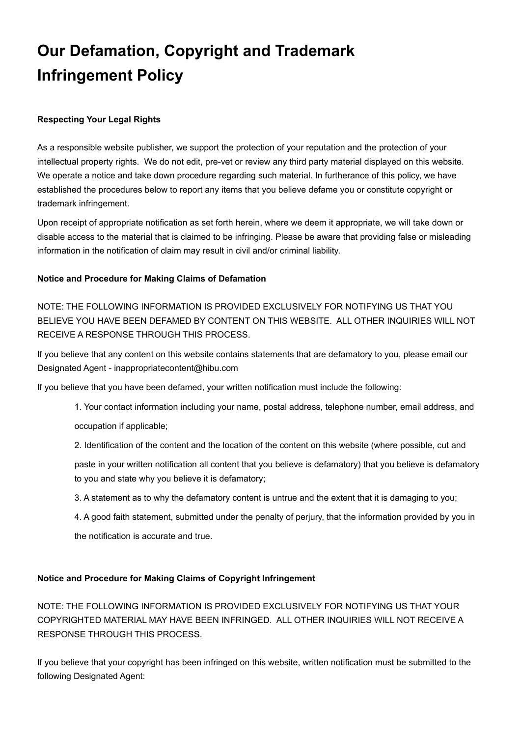# **Our Defamation, Copyright and Trademark Infringement Policy**

### **Respecting Your Legal Rights**

As a responsible website publisher, we support the protection of your reputation and the protection of your intellectual property rights. We do not edit, pre-vet or review any third party material displayed on this website. We operate a notice and take down procedure regarding such material. In furtherance of this policy, we have established the procedures below to report any items that you believe defame you or constitute copyright or trademark infringement.

Upon receipt of appropriate notification as set forth herein, where we deem it appropriate, we will take down or disable access to the material that is claimed to be infringing. Please be aware that providing false or misleading information in the notification of claim may result in civil and/or criminal liability.

#### **Notice and Procedure for Making Claims of Defamation**

NOTE: THE FOLLOWING INFORMATION IS PROVIDED EXCLUSIVELY FOR NOTIFYING US THAT YOU BELIEVE YOU HAVE BEEN DEFAMED BY CONTENT ON THIS WEBSITE. ALL OTHER INQUIRIES WILL NOT RECEIVE A RESPONSE THROUGH THIS PROCESS.

If you believe that any content on this website contains statements that are defamatory to you, please email our Designated Agent - inappropriatecontent@hibu.com

If you believe that you have been defamed, your written notification must include the following:

- 1. Your contact information including your name, postal address, telephone number, email address, and occupation if applicable;
- 2. Identification of the content and the location of the content on this website (where possible, cut and
- paste in your written notification all content that you believe is defamatory) that you believe is defamatory to you and state why you believe it is defamatory;
- 3. A statement as to why the defamatory content is untrue and the extent that it is damaging to you;
- 4. A good faith statement, submitted under the penalty of perjury, that the information provided by you in the notification is accurate and true.

#### **Notice and Procedure for Making Claims of Copyright Infringement**

NOTE: THE FOLLOWING INFORMATION IS PROVIDED EXCLUSIVELY FOR NOTIFYING US THAT YOUR COPYRIGHTED MATERIAL MAY HAVE BEEN INFRINGED. ALL OTHER INQUIRIES WILL NOT RECEIVE A RESPONSE THROUGH THIS PROCESS.

If you believe that your copyright has been infringed on this website, written notification must be submitted to the following Designated Agent: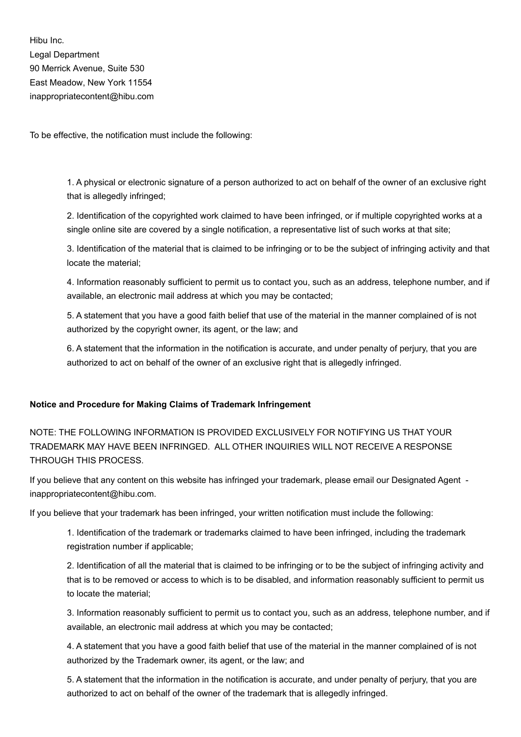Hibu Inc. Legal Department 90 Merrick Avenue, Suite 530 East Meadow, New York 11554 inappropriatecontent@hibu.com

To be effective, the notification must include the following:

1. A physical or electronic signature of a person authorized to act on behalf of the owner of an exclusive right that is allegedly infringed;

2. Identification of the copyrighted work claimed to have been infringed, or if multiple copyrighted works at a single online site are covered by a single notification, a representative list of such works at that site;

3. Identification of the material that is claimed to be infringing or to be the subject of infringing activity and that locate the material;

4. Information reasonably sufficient to permit us to contact you, such as an address, telephone number, and if available, an electronic mail address at which you may be contacted;

5. A statement that you have a good faith belief that use of the material in the manner complained of is not authorized by the copyright owner, its agent, or the law; and

6. A statement that the information in the notification is accurate, and under penalty of perjury, that you are authorized to act on behalf of the owner of an exclusive right that is allegedly infringed.

#### **Notice and Procedure for Making Claims of Trademark Infringement**

NOTE: THE FOLLOWING INFORMATION IS PROVIDED EXCLUSIVELY FOR NOTIFYING US THAT YOUR TRADEMARK MAY HAVE BEEN INFRINGED. ALL OTHER INQUIRIES WILL NOT RECEIVE A RESPONSE THROUGH THIS PROCESS.

If you believe that any content on this website has infringed your trademark, please email our Designated Agent inappropriatecontent@hibu.com.

If you believe that your trademark has been infringed, your written notification must include the following:

1. Identification of the trademark or trademarks claimed to have been infringed, including the trademark registration number if applicable;

2. Identification of all the material that is claimed to be infringing or to be the subject of infringing activity and that is to be removed or access to which is to be disabled, and information reasonably sufficient to permit us to locate the material;

3. Information reasonably sufficient to permit us to contact you, such as an address, telephone number, and if available, an electronic mail address at which you may be contacted;

4. A statement that you have a good faith belief that use of the material in the manner complained of is not authorized by the Trademark owner, its agent, or the law; and

5. A statement that the information in the notification is accurate, and under penalty of perjury, that you are authorized to act on behalf of the owner of the trademark that is allegedly infringed.